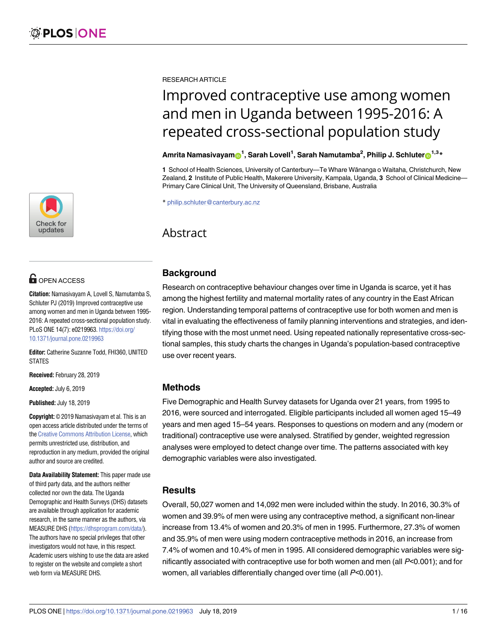

## **OPEN ACCESS**

**Citation:** Namasivayam A, Lovell S, Namutamba S, Schluter PJ (2019) Improved contraceptive use among women and men in Uganda between 1995- 2016: A repeated cross-sectional population study. PLoS ONE 14(7): e0219963. [https://doi.org/](https://doi.org/10.1371/journal.pone.0219963) [10.1371/journal.pone.0219963](https://doi.org/10.1371/journal.pone.0219963)

**Editor:** Catherine Suzanne Todd, FHI360, UNITED **STATES** 

**Received:** February 28, 2019

**Accepted:** July 6, 2019

**Published:** July 18, 2019

**Copyright:** © 2019 Namasivayam et al. This is an open access article distributed under the terms of the Creative [Commons](http://creativecommons.org/licenses/by/4.0/) Attribution License, which permits unrestricted use, distribution, and reproduction in any medium, provided the original author and source are credited.

**Data Availability Statement:** This paper made use of third party data, and the authors neither collected nor own the data. The Uganda Demographic and Health Surveys (DHS) datasets are available through application for academic research, in the same manner as the authors, via MEASURE DHS [\(https://dhsprogram.com/data/](https://dhsprogram.com/data/)). The authors have no special privileges that other investigators would not have, in this respect. Academic users wishing to use the data are asked to register on the website and complete a short web form via MEASURE DHS.

RESEARCH ARTICLE

# Improved contraceptive use among women and men in Uganda between 1995-2016: A repeated cross-sectional population study

## ${\sf A}$ mrita <code>Namasivayam $\boldsymbol{\odot}^1$ , Sarah Lovell<sup>1</sup>, Sarah Namutamba<sup>2</sup>, Philip J. Schluter $\boldsymbol{\odot}^{1,3}$ \*</code>

**1** School of Health Sciences, University of Canterbury—Te Whare Wānanga o Waitaha, Christchurch, New Zealand, **2** Institute of Public Health, Makerere University, Kampala, Uganda, **3** School of Clinical Medicine— Primary Care Clinical Unit, The University of Queensland, Brisbane, Australia

\* philip.schluter@canterbury.ac.nz

## Abstract

## **Background**

Research on contraceptive behaviour changes over time in Uganda is scarce, yet it has among the highest fertility and maternal mortality rates of any country in the East African region. Understanding temporal patterns of contraceptive use for both women and men is vital in evaluating the effectiveness of family planning interventions and strategies, and identifying those with the most unmet need. Using repeated nationally representative cross-sectional samples, this study charts the changes in Uganda's population-based contraceptive use over recent years.

## **Methods**

Five Demographic and Health Survey datasets for Uganda over 21 years, from 1995 to 2016, were sourced and interrogated. Eligible participants included all women aged 15–49 years and men aged 15–54 years. Responses to questions on modern and any (modern or traditional) contraceptive use were analysed. Stratified by gender, weighted regression analyses were employed to detect change over time. The patterns associated with key demographic variables were also investigated.

## **Results**

Overall, 50,027 women and 14,092 men were included within the study. In 2016, 30.3% of women and 39.9% of men were using any contraceptive method, a significant non-linear increase from 13.4% of women and 20.3% of men in 1995. Furthermore, 27.3% of women and 35.9% of men were using modern contraceptive methods in 2016, an increase from 7.4% of women and 10.4% of men in 1995. All considered demographic variables were significantly associated with contraceptive use for both women and men (all P*<*0.001); and for women, all variables differentially changed over time (all P*<*0.001).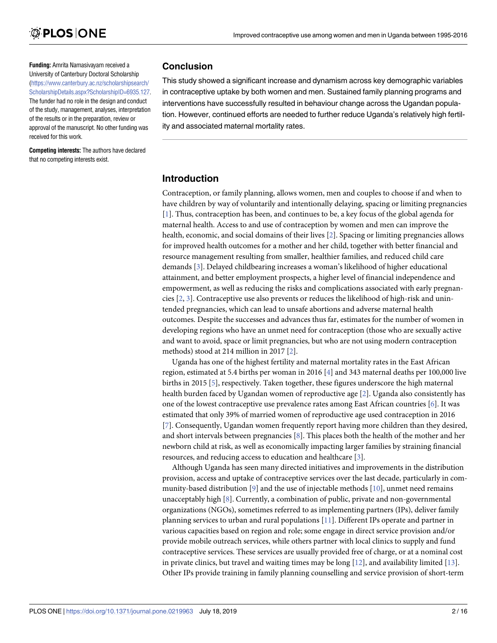<span id="page-1-0"></span>**Funding:** Amrita Namasivayam received a University of Canterbury Doctoral Scholarship [\(https://www.canterbury.ac.nz/scholarshipsearch/](https://www.canterbury.ac.nz/scholarshipsearch/ScholarshipDetails.aspx?ScholarshipID=6935.127) [ScholarshipDetails.aspx?ScholarshipID=6935.127](https://www.canterbury.ac.nz/scholarshipsearch/ScholarshipDetails.aspx?ScholarshipID=6935.127). The funder had no role in the design and conduct of the study, management, analyses, interpretation of the results or in the preparation, review or approval of the manuscript. No other funding was received for this work.

**Competing interests:** The authors have declared that no competing interests exist.

## **Conclusion**

This study showed a significant increase and dynamism across key demographic variables in contraceptive uptake by both women and men. Sustained family planning programs and interventions have successfully resulted in behaviour change across the Ugandan population. However, continued efforts are needed to further reduce Uganda's relatively high fertility and associated maternal mortality rates.

## **Introduction**

Contraception, or family planning, allows women, men and couples to choose if and when to have children by way of voluntarily and intentionally delaying, spacing or limiting pregnancies [\[1](#page-13-0)]. Thus, contraception has been, and continues to be, a key focus of the global agenda for maternal health. Access to and use of contraception by women and men can improve the health, economic, and social domains of their lives [[2\]](#page-13-0). Spacing or limiting pregnancies allows for improved health outcomes for a mother and her child, together with better financial and resource management resulting from smaller, healthier families, and reduced child care demands [\[3\]](#page-13-0). Delayed childbearing increases a woman's likelihood of higher educational attainment, and better employment prospects, a higher level of financial independence and empowerment, as well as reducing the risks and complications associated with early pregnancies [\[2](#page-13-0), [3](#page-13-0)]. Contraceptive use also prevents or reduces the likelihood of high-risk and unintended pregnancies, which can lead to unsafe abortions and adverse maternal health outcomes. Despite the successes and advances thus far, estimates for the number of women in developing regions who have an unmet need for contraception (those who are sexually active and want to avoid, space or limit pregnancies, but who are not using modern contraception methods) stood at 214 million in 2017 [[2](#page-13-0)].

Uganda has one of the highest fertility and maternal mortality rates in the East African region, estimated at 5.4 births per woman in 2016 [\[4](#page-13-0)] and 343 maternal deaths per 100,000 live births in 2015 [[5](#page-13-0)], respectively. Taken together, these figures underscore the high maternal health burden faced by Ugandan women of reproductive age [[2](#page-13-0)]. Uganda also consistently has one of the lowest contraceptive use prevalence rates among East African countries [[6](#page-13-0)]. It was estimated that only 39% of married women of reproductive age used contraception in 2016 [\[7](#page-13-0)]. Consequently, Ugandan women frequently report having more children than they desired, and short intervals between pregnancies [\[8\]](#page-13-0). This places both the health of the mother and her newborn child at risk, as well as economically impacting larger families by straining financial resources, and reducing access to education and healthcare [[3](#page-13-0)].

Although Uganda has seen many directed initiatives and improvements in the distribution provision, access and uptake of contraceptive services over the last decade, particularly in community-based distribution [[9](#page-14-0)] and the use of injectable methods [\[10\]](#page-14-0), unmet need remains unacceptably high [\[8\]](#page-13-0). Currently, a combination of public, private and non-governmental organizations (NGOs), sometimes referred to as implementing partners (IPs), deliver family planning services to urban and rural populations [\[11\]](#page-14-0). Different IPs operate and partner in various capacities based on region and role; some engage in direct service provision and/or provide mobile outreach services, while others partner with local clinics to supply and fund contraceptive services. These services are usually provided free of charge, or at a nominal cost in private clinics, but travel and waiting times may be long  $[12]$ , and availability limited  $[13]$ . Other IPs provide training in family planning counselling and service provision of short-term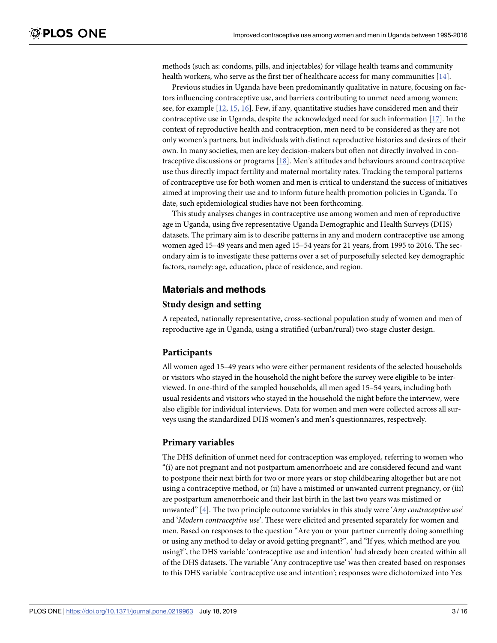<span id="page-2-0"></span>methods (such as: condoms, pills, and injectables) for village health teams and community health workers, who serve as the first tier of healthcare access for many communities [[14](#page-14-0)].

Previous studies in Uganda have been predominantly qualitative in nature, focusing on factors influencing contraceptive use, and barriers contributing to unmet need among women; see, for example [\[12,](#page-14-0) [15,](#page-14-0) [16\]](#page-14-0). Few, if any, quantitative studies have considered men and their contraceptive use in Uganda, despite the acknowledged need for such information [\[17\]](#page-14-0). In the context of reproductive health and contraception, men need to be considered as they are not only women's partners, but individuals with distinct reproductive histories and desires of their own. In many societies, men are key decision-makers but often not directly involved in contraceptive discussions or programs [[18](#page-14-0)]. Men's attitudes and behaviours around contraceptive use thus directly impact fertility and maternal mortality rates. Tracking the temporal patterns of contraceptive use for both women and men is critical to understand the success of initiatives aimed at improving their use and to inform future health promotion policies in Uganda. To date, such epidemiological studies have not been forthcoming.

This study analyses changes in contraceptive use among women and men of reproductive age in Uganda, using five representative Uganda Demographic and Health Surveys (DHS) datasets. The primary aim is to describe patterns in any and modern contraceptive use among women aged 15–49 years and men aged 15–54 years for 21 years, from 1995 to 2016. The secondary aim is to investigate these patterns over a set of purposefully selected key demographic factors, namely: age, education, place of residence, and region.

## **Materials and methods**

#### **Study design and setting**

A repeated, nationally representative, cross-sectional population study of women and men of reproductive age in Uganda, using a stratified (urban/rural) two-stage cluster design.

#### **Participants**

All women aged 15–49 years who were either permanent residents of the selected households or visitors who stayed in the household the night before the survey were eligible to be interviewed. In one-third of the sampled households, all men aged 15–54 years, including both usual residents and visitors who stayed in the household the night before the interview, were also eligible for individual interviews. Data for women and men were collected across all surveys using the standardized DHS women's and men's questionnaires, respectively.

#### **Primary variables**

The DHS definition of unmet need for contraception was employed, referring to women who "(i) are not pregnant and not postpartum amenorrhoeic and are considered fecund and want to postpone their next birth for two or more years or stop childbearing altogether but are not using a contraceptive method, or (ii) have a mistimed or unwanted current pregnancy, or (iii) are postpartum amenorrhoeic and their last birth in the last two years was mistimed or unwanted" [\[4](#page-13-0)]. The two principle outcome variables in this study were '*Any contraceptive use*' and '*Modern contraceptive use*'. These were elicited and presented separately for women and men. Based on responses to the question "Are you or your partner currently doing something or using any method to delay or avoid getting pregnant?", and "If yes, which method are you using?", the DHS variable 'contraceptive use and intention' had already been created within all of the DHS datasets. The variable 'Any contraceptive use' was then created based on responses to this DHS variable 'contraceptive use and intention'; responses were dichotomized into Yes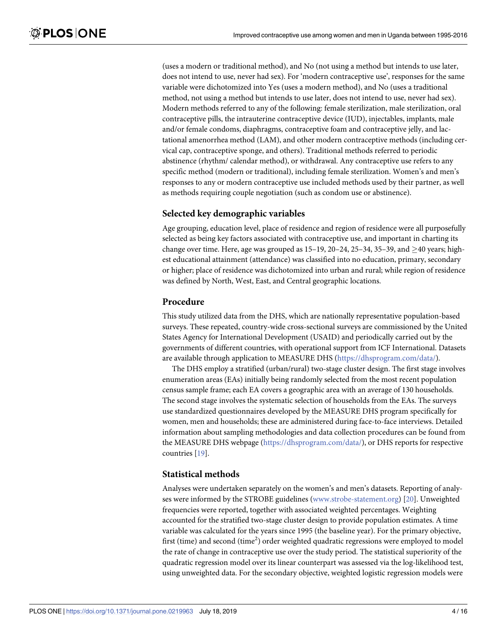<span id="page-3-0"></span>(uses a modern or traditional method), and No (not using a method but intends to use later, does not intend to use, never had sex). For 'modern contraceptive use', responses for the same variable were dichotomized into Yes (uses a modern method), and No (uses a traditional method, not using a method but intends to use later, does not intend to use, never had sex). Modern methods referred to any of the following: female sterilization, male sterilization, oral contraceptive pills, the intrauterine contraceptive device (IUD), injectables, implants, male and/or female condoms, diaphragms, contraceptive foam and contraceptive jelly, and lactational amenorrhea method (LAM), and other modern contraceptive methods (including cervical cap, contraceptive sponge, and others). Traditional methods referred to periodic abstinence (rhythm/ calendar method), or withdrawal. Any contraceptive use refers to any specific method (modern or traditional), including female sterilization. Women's and men's responses to any or modern contraceptive use included methods used by their partner, as well as methods requiring couple negotiation (such as condom use or abstinence).

## **Selected key demographic variables**

Age grouping, education level, place of residence and region of residence were all purposefully selected as being key factors associated with contraceptive use, and important in charting its change over time. Here, age was grouped as  $15-19$ ,  $20-24$ ,  $25-34$ ,  $35-39$ , and  $\geq 40$  years; highest educational attainment (attendance) was classified into no education, primary, secondary or higher; place of residence was dichotomized into urban and rural; while region of residence was defined by North, West, East, and Central geographic locations.

#### **Procedure**

This study utilized data from the DHS, which are nationally representative population-based surveys. These repeated, country-wide cross-sectional surveys are commissioned by the United States Agency for International Development (USAID) and periodically carried out by the governments of different countries, with operational support from ICF International. Datasets are available through application to MEASURE DHS ([https://dhsprogram.com/data/\)](https://dhsprogram.com/data/).

The DHS employ a stratified (urban/rural) two-stage cluster design. The first stage involves enumeration areas (EAs) initially being randomly selected from the most recent population census sample frame; each EA covers a geographic area with an average of 130 households. The second stage involves the systematic selection of households from the EAs. The surveys use standardized questionnaires developed by the MEASURE DHS program specifically for women, men and households; these are administered during face-to-face interviews. Detailed information about sampling methodologies and data collection procedures can be found from the MEASURE DHS webpage ([https://dhsprogram.com/data/\)](https://dhsprogram.com/data/), or DHS reports for respective countries [[19](#page-14-0)].

## **Statistical methods**

Analyses were undertaken separately on the women's and men's datasets. Reporting of analyses were informed by the STROBE guidelines ([www.strobe-statement.org](http://www.strobe-statement.org/)) [\[20\]](#page-14-0). Unweighted frequencies were reported, together with associated weighted percentages. Weighting accounted for the stratified two-stage cluster design to provide population estimates. A time variable was calculated for the years since 1995 (the baseline year). For the primary objective, first (time) and second (time<sup>2</sup>) order weighted quadratic regressions were employed to model the rate of change in contraceptive use over the study period. The statistical superiority of the quadratic regression model over its linear counterpart was assessed via the log-likelihood test, using unweighted data. For the secondary objective, weighted logistic regression models were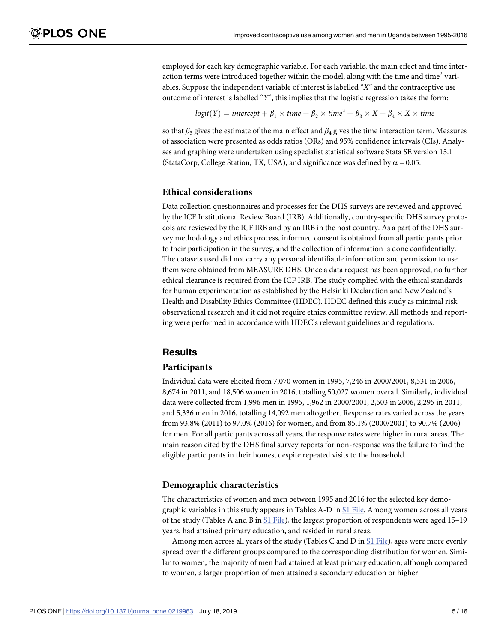employed for each key demographic variable. For each variable, the main effect and time interaction terms were introduced together within the model, along with the time and time<sup>2</sup> variables. Suppose the independent variable of interest is labelled "*X*" and the contraceptive use outcome of interest is labelled "*Y*", this implies that the logistic regression takes the form:

$$
logit(Y) = intercept + \beta_1 \times time + \beta_2 \times time^2 + \beta_3 \times X + \beta_4 \times X \times time
$$

so that  $\beta_3$  gives the estimate of the main effect and  $\beta_4$  gives the time interaction term. Measures of association were presented as odds ratios (ORs) and 95% confidence intervals (CIs). Analyses and graphing were undertaken using specialist statistical software Stata SE version 15.1 (StataCorp, College Station, TX, USA), and significance was defined by  $\alpha$  = 0.05.

#### **Ethical considerations**

Data collection questionnaires and processes for the DHS surveys are reviewed and approved by the ICF Institutional Review Board (IRB). Additionally, country-specific DHS survey protocols are reviewed by the ICF IRB and by an IRB in the host country. As a part of the DHS survey methodology and ethics process, informed consent is obtained from all participants prior to their participation in the survey, and the collection of information is done confidentially. The datasets used did not carry any personal identifiable information and permission to use them were obtained from MEASURE DHS. Once a data request has been approved, no further ethical clearance is required from the ICF IRB. The study complied with the ethical standards for human experimentation as established by the Helsinki Declaration and New Zealand's Health and Disability Ethics Committee (HDEC). HDEC defined this study as minimal risk observational research and it did not require ethics committee review. All methods and reporting were performed in accordance with HDEC's relevant guidelines and regulations.

#### **Results**

#### **Participants**

Individual data were elicited from 7,070 women in 1995, 7,246 in 2000/2001, 8,531 in 2006, 8,674 in 2011, and 18,506 women in 2016, totalling 50,027 women overall. Similarly, individual data were collected from 1,996 men in 1995, 1,962 in 2000/2001, 2,503 in 2006, 2,295 in 2011, and 5,336 men in 2016, totalling 14,092 men altogether. Response rates varied across the years from 93.8% (2011) to 97.0% (2016) for women, and from 85.1% (2000/2001) to 90.7% (2006) for men. For all participants across all years, the response rates were higher in rural areas. The main reason cited by the DHS final survey reports for non-response was the failure to find the eligible participants in their homes, despite repeated visits to the household.

#### **Demographic characteristics**

The characteristics of women and men between 1995 and 2016 for the selected key demographic variables in this study appears in Tables A-D in S1 [File](#page-13-0). Among women across all years of the study (Tables A and B in S1 [File](#page-13-0)), the largest proportion of respondents were aged 15–19 years, had attained primary education, and resided in rural areas.

Among men across all years of the study (Tables C and D in S1 [File](#page-13-0)), ages were more evenly spread over the different groups compared to the corresponding distribution for women. Similar to women, the majority of men had attained at least primary education; although compared to women, a larger proportion of men attained a secondary education or higher.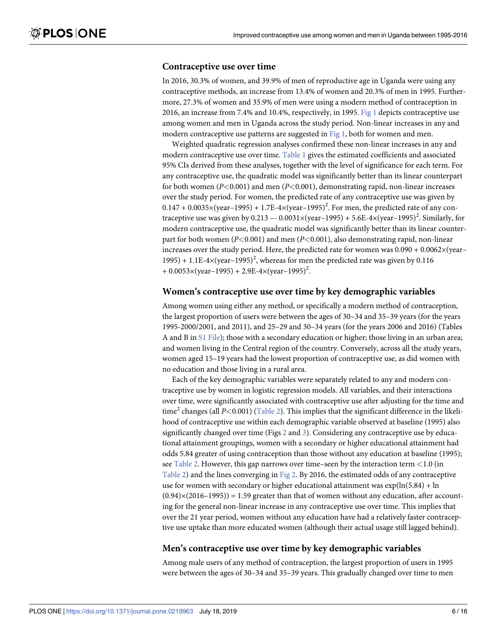#### <span id="page-5-0"></span>**Contraceptive use over time**

In 2016, 30.3% of women, and 39.9% of men of reproductive age in Uganda were using any contraceptive methods, an increase from 13.4% of women and 20.3% of men in 1995. Furthermore, 27.3% of women and 35.9% of men were using a modern method of contraception in 2016, an increase from 7.4% and 10.4%, respectively, in 1995. [Fig](#page-6-0) 1 depicts contraceptive use among women and men in Uganda across the study period. Non-linear increases in any and modern contraceptive use patterns are suggested in  $Fig 1$  $Fig 1$ , both for women and men.

Weighted quadratic regression analyses confirmed these non-linear increases in any and modern contraceptive use over time. [Table](#page-6-0) 1 gives the estimated coefficients and associated 95% CIs derived from these analyses, together with the level of significance for each term. For any contraceptive use, the quadratic model was significantly better than its linear counterpart for both women (*P<*0.001) and men (*P<*0.001), demonstrating rapid, non-linear increases over the study period. For women, the predicted rate of any contraceptive use was given by  $0.147 + 0.0035 \times (year-1995) + 1.7E-4 \times (year-1995)^2$ . For men, the predicted rate of any contraceptive use was given by 0.213 -- 0.0031×(year-1995) + 5.6E-4×(year-1995)<sup>2</sup>. Similarly, for modern contraceptive use, the quadratic model was significantly better than its linear counterpart for both women (*P<*0.001) and men (*P<*0.001), also demonstrating rapid, non-linear increases over the study period. Here, the predicted rate for women was 0.090 + 0.0062×(year– 1995) + 1.1E-4 $\times$ (year-1995)<sup>2</sup>, whereas for men the predicted rate was given by 0.116  $+ 0.0053 \times (year - 1995) + 2.9E-4 \times (year - 1995)^2.$ 

#### **Women's contraceptive use over time by key demographic variables**

Among women using either any method, or specifically a modern method of contraception, the largest proportion of users were between the ages of 30–34 and 35–39 years (for the years 1995-2000/2001, and 2011), and 25–29 and 30–34 years (for the years 2006 and 2016) (Tables A and B in S1 [File](#page-13-0)); those with a secondary education or higher; those living in an urban area; and women living in the Central region of the country. Conversely, across all the study years, women aged 15–19 years had the lowest proportion of contraceptive use, as did women with no education and those living in a rural area.

Each of the key demographic variables were separately related to any and modern contraceptive use by women in logistic regression models. All variables, and their interactions over time, were significantly associated with contraceptive use after adjusting for the time and time<sup>2</sup> changes (all  $P \leq 0.001$ ) [\(Table](#page-7-0) 2). This implies that the significant difference in the likelihood of contraceptive use within each demographic variable observed at baseline (1995) also significantly changed over time (Figs [2](#page-8-0) and [3](#page-9-0)). Considering any contraceptive use by educational attainment groupings, women with a secondary or higher educational attainment had odds 5.84 greater of using contraception than those without any education at baseline (1995); see [Table](#page-7-0) 2. However, this gap narrows over time–seen by the interaction term *<*1.0 (in [Table](#page-7-0) 2) and the lines converging in [Fig](#page-8-0) 2. By 2016, the estimated odds of any contraceptive use for women with secondary or higher educational attainment was  $\exp(\ln(5.84) + \ln$  $(0.94)\times(2016-1995)$  = 1.59 greater than that of women without any education, after accounting for the general non-linear increase in any contraceptive use over time. This implies that over the 21 year period, women without any education have had a relatively faster contraceptive use uptake than more educated women (although their actual usage still lagged behind).

#### **Men's contraceptive use over time by key demographic variables**

Among male users of any method of contraception, the largest proportion of users in 1995 were between the ages of 30–34 and 35–39 years. This gradually changed over time to men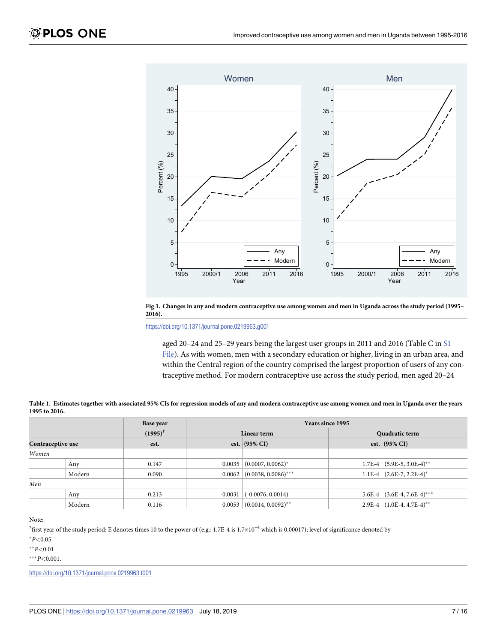<span id="page-6-0"></span>

[Fig](#page-5-0) 1. Changes in any and modern contraceptive use among women and men in Uganda across the study period (1995-**2016).**

<https://doi.org/10.1371/journal.pone.0219963.g001>

aged 20–24 and 25–29 years being the largest user groups in 2011 and 2016 (Table C in  $\underline{\mathsf{S1}}$  $\underline{\mathsf{S1}}$  $\underline{\mathsf{S1}}$ [File\)](#page-13-0). As with women, men with a secondary education or higher, living in an urban area, and within the Central region of the country comprised the largest proportion of users of any contraceptive method. For modern contraceptive use across the study period, men aged 20–24

| 1995 to 2016.     |                  |                         |                          |                |                          |  |  |  |
|-------------------|------------------|-------------------------|--------------------------|----------------|--------------------------|--|--|--|
|                   | <b>Base vear</b> | <b>Years since 1995</b> |                          |                |                          |  |  |  |
|                   | $(1995)^{+}$     |                         | Linear term              | Quadratic term |                          |  |  |  |
| Contraceptive use | est.             |                         | est. $(95\% \text{ CI})$ |                | est. $(95\% \text{ CI})$ |  |  |  |
|                   |                  |                         |                          |                |                          |  |  |  |

| Table 1. Estimates together with associated 95% CIs for regression models of any and modern contraceptive use among women and men in Uganda over the years |  |
|------------------------------------------------------------------------------------------------------------------------------------------------------------|--|
| 1995 to 2016.                                                                                                                                              |  |

|        | $(1995)^{+}$      | Linear term |                       | Quadratic term                                                                                                                            |                                        |  |
|--------|-------------------|-------------|-----------------------|-------------------------------------------------------------------------------------------------------------------------------------------|----------------------------------------|--|
|        | est.              |             |                       |                                                                                                                                           | est. $(95\% \text{ CI})$               |  |
|        |                   |             |                       |                                                                                                                                           |                                        |  |
| Any    | 0.147             |             |                       |                                                                                                                                           | $1.7E-4$ (5.9E-5, 3.0E-4)**            |  |
| Modern | 0.090             |             |                       |                                                                                                                                           | $1.1E-4$ (2.6E-7, 2.2E-4) <sup>*</sup> |  |
|        |                   |             |                       |                                                                                                                                           |                                        |  |
| Any    | 0.213             | $-0.0031$   | $( -0.0076, 0.0014 )$ |                                                                                                                                           | $5.6E-4$ (3.6E-4, 7.6E-4)***           |  |
| Modern | 0.116             |             |                       |                                                                                                                                           | 2.9E-4 $(1.0E-4, 4.7E-4)$ **           |  |
|        | Contraceptive use |             | 0.0062                | est. $(95\% \text{ CI})$<br>$0.0035$ (0.0007, 0.0062) <sup>*</sup><br>$(0.0038, 0.0086)^{***}$<br>$0.0053$ (0.0014, 0.0092) <sup>**</sup> |                                        |  |

Note:

†first year of the study period; E denotes times 10 to the power of (e.g.: 1.7E-4 is 1.7×10<sup>-4</sup> which is 0.00017); level of significance denoted by �*P<*0.05

��*P<*0.01

���*P<*0.001.

<https://doi.org/10.1371/journal.pone.0219963.t001>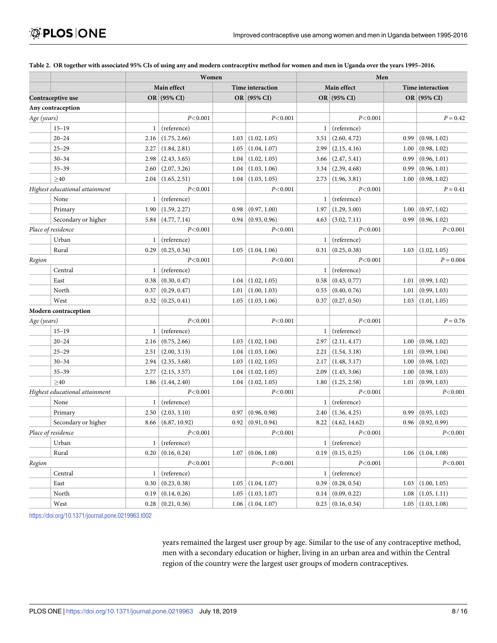|                                |                                |              | Women                                  |         |                          |              | Men                      |             |                          |  |
|--------------------------------|--------------------------------|--------------|----------------------------------------|---------|--------------------------|--------------|--------------------------|-------------|--------------------------|--|
|                                |                                |              | Main effect<br><b>Time interaction</b> |         |                          |              | Main effect              |             | Time interaction         |  |
| Contraceptive use              |                                |              | OR (95% CI)                            |         | $OR$ (95% CI)            |              | OR $(95\% \text{ CI})$   |             | OR $(95\% \text{ CI})$   |  |
|                                | Any contraception              |              |                                        |         |                          |              |                          |             |                          |  |
| Age (years)                    |                                |              | P < 0.001                              |         | P < 0.001                |              | P < 0.001                |             | $P = 0.42$               |  |
|                                | $15 - 19$                      | 1            | (reference)                            |         |                          | 1            | (reference)              |             |                          |  |
|                                | $20 - 24$                      | 2.16         | (1.75, 2.66)                           | 1.03    | (1.02, 1.05)             | 3.51         | (2.60, 4.72)             | 0.99        | (0.98, 1.02)             |  |
|                                | $25 - 29$                      | 2.27         | (1.84, 2.81)                           | 1.05    | (1.04, 1.07)             | 2.99         | (2.15, 4.16)             | 1.00        | (0.98, 1.02)             |  |
|                                | $30 - 34$                      | 2.98         | (2.43, 3.65)                           | 1.04    | (1.02, 1.05)             | 3.66         | (2.47, 5.41)             | 0.99        | (0.96, 1.01)             |  |
|                                | $35 - 39$                      | 2.60         | (2.07, 3.26)                           | 1.04    | (1.03, 1.06)             | 3.34         | (2.39, 4.68)             | 0.99        | (0.96, 1.01)             |  |
|                                | >40                            | 2.04         | (1.65, 2.51)                           | 1.04    | (1.03, 1.05)             | 2.73         | (1.96, 3.81)             | 1.00        | (0.98, 1.02)             |  |
|                                | Highest educational attainment |              | P<0.001                                |         | P<0.001                  |              | P<0.001                  |             | $P = 0.41$               |  |
|                                | None                           | $\mathbf{1}$ | (reference)                            |         |                          | $\mathbf{1}$ | (reference)              |             |                          |  |
|                                | Primary                        | 1.90         | (1.59, 2.27)                           | 0.98    | (0.97, 1.00)             | 1.97         | (1.29, 3.00)             | 1.00        | (0.97, 1.02)             |  |
|                                | Secondary or higher            | 5.84         | (4.77, 7.14)                           | 0.94    | (0.93, 0.96)             | 4.63         | (3.02, 7.11)             | 0.99        | (0.96, 1.02)             |  |
|                                | Place of residence             |              | P < 0.001                              |         | P<0.001                  |              | P<0.001                  |             | P< 0.001                 |  |
|                                | Urban                          | 1            | (reference)                            |         |                          | 1            | (reference)              |             |                          |  |
|                                | Rural                          | 0.29         | (0.25, 0.34)                           | 1.05    | (1.04, 1.06)             | 0.31         | (0.25, 0.38)             | 1.03        | (1.02, 1.05)             |  |
| Region                         |                                | P < 0.001    |                                        | P<0.001 |                          | P<0.001      |                          | $P = 0.004$ |                          |  |
|                                | Central                        | 1            | (reference)                            |         |                          | 1            | (reference)              |             |                          |  |
|                                | East                           | 0.38         | (0.30, 0.47)                           | 1.04    | (1.02, 1.05)             | 0.58         | (0.43, 0.77)             | 1.01        | (0.99, 1.02)             |  |
|                                | North                          | 0.37         | (0.29, 0.47)                           | 1.01    | (1.00, 1.03)             | 0.55         | (0.40, 0.76)             | 1.01        | (0.99, 1.03)             |  |
|                                | West                           | 0.32         | (0.25, 0.41)                           | 1.05    | (1.03, 1.06)             | 0.37         | (0.27, 0.50)             | 1.03        | (1.01, 1.05)             |  |
|                                | Modern contraception           |              |                                        |         |                          |              |                          |             |                          |  |
| Age (years)                    |                                |              | P < 0.001                              |         | P<0.001                  |              | P<0.001                  |             | $P = 0.76$               |  |
|                                | $15 - 19$                      | $\mathbf{1}$ | (reference)                            |         |                          | $\mathbf{1}$ | (reference)              |             |                          |  |
|                                | $20 - 24$                      | 2.16         | (0.75, 2.66)                           | 1.03    | (1.02, 1.04)             | 2.97         | (2.11, 4.17)             | 1.00        | (0.98, 1.02)             |  |
|                                | $25 - 29$                      | 2.51         | (2.00, 3.13)                           | 1.04    | (1.03, 1.06)             | 2.21         | (1.54, 3.18)             | 1.01        | (0.99, 1.04)             |  |
|                                | $30 - 34$                      | 2.94         | (2.35, 3.68)                           | 1.03    | (1.02, 1.05)             | 2.17         | (1.48, 3.17)             | 1.00        | (0.98, 1.02)             |  |
|                                | $35 - 39$                      | 2.77         | (2.15, 3.57)                           | 1.04    | (1.02, 1.05)             | 2.09         | (1.43, 3.06)             | 1.00        | (0.98, 1.03)             |  |
|                                | >40                            | 1.86         | (1.44, 2.40)                           | 1.04    | (1.02, 1.05)             | 1.80         | (1.25, 2.58)             | 1.01        | (0.99, 1.03)             |  |
| Highest educational attainment |                                | P < 0.001    |                                        | P<0.001 |                          | P<0.001      |                          | P<0.001     |                          |  |
|                                | None                           | $\mathbf{1}$ | (reference)                            |         |                          | 1            | (reference)              |             |                          |  |
|                                | Primary                        | 2.50         | (2.03, 3.10)                           | 0.97    | (0.96, 0.98)             | 2.40         | (1.36, 4.25)             | 0.99        | (0.95, 1.02)             |  |
|                                | Secondary or higher            | 8.66         | (6.87, 10.92)                          | 0.92    | (0.91, 0.94)             | 8.22         | (4.62, 14.62)            | 0.96        | (0.92, 0.99)             |  |
|                                | Place of residence             |              | P<0.001                                |         | P<0.001                  |              | P<0.001                  |             | P<0.001                  |  |
|                                | Urban                          |              | $1  $ (reference)                      |         |                          |              | $1  $ (reference)        |             |                          |  |
|                                | Rural                          | 0.20         | (0.16, 0.24)                           |         | $1.07 \mid (0.06, 1.08)$ | 0.19         | (0.15, 0.25)             |             | $1.06 \mid (1.04, 1.08)$ |  |
| Region                         |                                |              | P < 0.001                              |         | P<0.001                  |              | P<0.001                  |             | P<0.001                  |  |
|                                | Central                        | $\mathbf{1}$ | (reference)                            |         |                          | 1            | (reference)              |             |                          |  |
|                                | East                           | 0.30         | (0.23, 0.38)                           | 1.05    | (1.04, 1.07)             | 0.39         | (0.28, 0.54)             | 1.03        | (1.00, 1.05)             |  |
|                                | North                          | 0.19         | (0.14, 0.26)                           | 1.05    | (1.03, 1.07)             |              | $0.14 \mid (0.09, 0.22)$ | 1.08        | (1.05, 1.11)             |  |
|                                | West                           | 0.28         | (0.21, 0.36)                           |         | $1.06 \mid (1.04, 1.07)$ |              | $0.23 \mid (0.16, 0.34)$ | 1.05        | (1.03, 1.08)             |  |

#### <span id="page-7-0"></span>[Table](#page-5-0) 2. OR together with associated 95% CIs of using any and modern contraceptive method for women and men in Uganda over the years 1995-2016.

<https://doi.org/10.1371/journal.pone.0219963.t002>

years remained the largest user group by age. Similar to the use of any contraceptive method, men with a secondary education or higher, living in an urban area and within the Central region of the country were the largest user groups of modern contraceptives.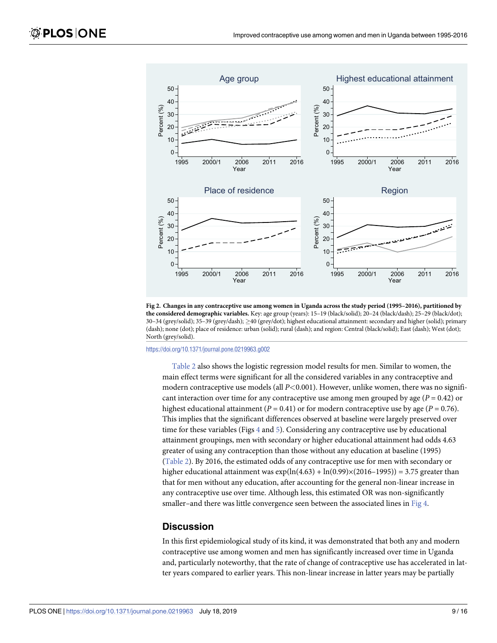<span id="page-8-0"></span>

[Fig](#page-5-0) 2. Changes in any contraceptive use among women in Uganda across the study period (1995-2016), partitioned by **the considered demographic variables.** Key: age group (years): 15–19 (black/solid); 20–24 (black/dash); 25–29 (black/dot); 30–34 (grey/solid); 35–39 (grey/dash); �40 (grey/dot); highest educational attainment: secondary and higher (solid); primary (dash); none (dot); place of residence: urban (solid); rural (dash); and region: Central (black/solid); East (dash); West (dot); North (grey/solid).

[Table](#page-7-0) 2 also shows the logistic regression model results for men. Similar to women, the main effect terms were significant for all the considered variables in any contraceptive and modern contraceptive use models (all *P<*0.001). However, unlike women, there was no significant interaction over time for any contraceptive use among men grouped by age ( $P = 0.42$ ) or highest educational attainment  $(P = 0.41)$  or for modern contraceptive use by age  $(P = 0.76)$ . This implies that the significant differences observed at baseline were largely preserved over time for these variables (Figs [4](#page-10-0) and [5\)](#page-11-0). Considering any contraceptive use by educational attainment groupings, men with secondary or higher educational attainment had odds 4.63 greater of using any contraception than those without any education at baseline (1995) [\(Table](#page-7-0) 2). By 2016, the estimated odds of any contraceptive use for men with secondary or higher educational attainment was  $\exp(\ln(4.63) + \ln(0.99) \times (2016 - 1995)) = 3.75$  greater than that for men without any education, after accounting for the general non-linear increase in any contraceptive use over time. Although less, this estimated OR was non-significantly smaller–and there was little convergence seen between the associated lines in [Fig](#page-10-0) 4.

#### **Discussion**

In this first epidemiological study of its kind, it was demonstrated that both any and modern contraceptive use among women and men has significantly increased over time in Uganda and, particularly noteworthy, that the rate of change of contraceptive use has accelerated in latter years compared to earlier years. This non-linear increase in latter years may be partially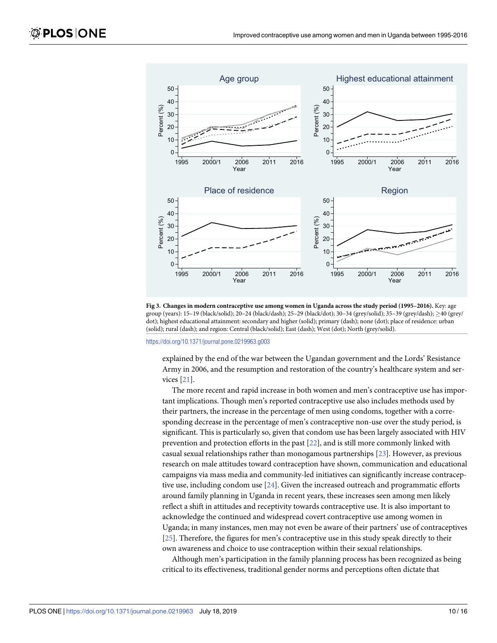<span id="page-9-0"></span>

**[Fig](#page-5-0) 3. Changes in modern contraceptive use among women in Uganda across the study period (1995–2016).** Key: age group (years): 15–19 (black/solid); 20–24 (black/dash); 25–29 (black/dot); 30–34 (grey/solid); 35–39 (grey/dash); �40 (grey/ dot); highest educational attainment: secondary and higher (solid); primary (dash); none (dot); place of residence: urban (solid); rural (dash); and region: Central (black/solid); East (dash); West (dot); North (grey/solid).

explained by the end of the war between the Ugandan government and the Lords' Resistance Army in 2006, and the resumption and restoration of the country's healthcare system and services [[21](#page-14-0)].

The more recent and rapid increase in both women and men's contraceptive use has important implications. Though men's reported contraceptive use also includes methods used by their partners, the increase in the percentage of men using condoms, together with a corresponding decrease in the percentage of men's contraceptive non-use over the study period, is significant. This is particularly so, given that condom use has been largely associated with HIV prevention and protection efforts in the past [\[22\]](#page-14-0), and is still more commonly linked with casual sexual relationships rather than monogamous partnerships [\[23\]](#page-14-0). However, as previous research on male attitudes toward contraception have shown, communication and educational campaigns via mass media and community-led initiatives can significantly increase contraceptive use, including condom use [[24](#page-14-0)]. Given the increased outreach and programmatic efforts around family planning in Uganda in recent years, these increases seen among men likely reflect a shift in attitudes and receptivity towards contraceptive use. It is also important to acknowledge the continued and widespread covert contraceptive use among women in Uganda; in many instances, men may not even be aware of their partners' use of contraceptives [\[25\]](#page-14-0). Therefore, the figures for men's contraceptive use in this study speak directly to their own awareness and choice to use contraception within their sexual relationships.

Although men's participation in the family planning process has been recognized as being critical to its effectiveness, traditional gender norms and perceptions often dictate that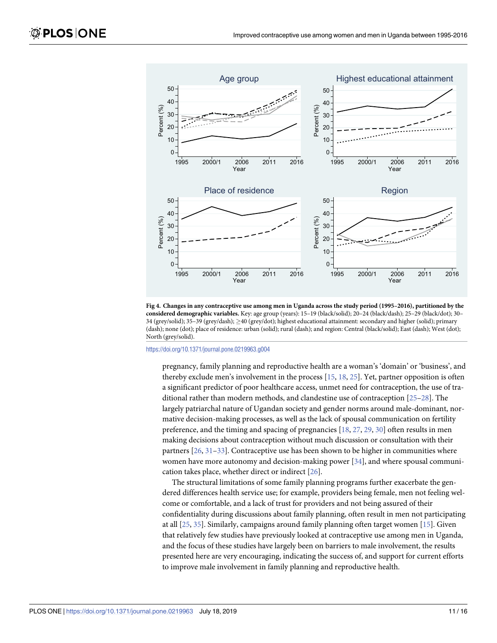<span id="page-10-0"></span>

[Fig](#page-8-0) 4. Changes in any contraceptive use among men in Uganda across the study period (1995-2016), partitioned by the **considered demographic variables.** Key: age group (years): 15–19 (black/solid); 20–24 (black/dash); 25–29 (black/dot); 30– 34 (grey/solid); 35–39 (grey/dash); �40 (grey/dot); highest educational attainment: secondary and higher (solid); primary (dash); none (dot); place of residence: urban (solid); rural (dash); and region: Central (black/solid); East (dash); West (dot); North (grey/solid).

pregnancy, family planning and reproductive health are a woman's 'domain' or 'business', and thereby exclude men's involvement in the process [\[15,](#page-14-0) [18,](#page-14-0) [25\]](#page-14-0). Yet, partner opposition is often a significant predictor of poor healthcare access, unmet need for contraception, the use of traditional rather than modern methods, and clandestine use of contraception [\[25–28\]](#page-14-0). The largely patriarchal nature of Ugandan society and gender norms around male-dominant, normative decision-making processes, as well as the lack of spousal communication on fertility preference, and the timing and spacing of pregnancies [[18](#page-14-0), [27](#page-14-0), [29](#page-15-0), [30](#page-15-0)] often results in men making decisions about contraception without much discussion or consultation with their partners [[26](#page-14-0), [31](#page-15-0)–[33\]](#page-15-0). Contraceptive use has been shown to be higher in communities where women have more autonomy and decision-making power [\[34\]](#page-15-0), and where spousal communication takes place, whether direct or indirect [\[26\]](#page-14-0).

The structural limitations of some family planning programs further exacerbate the gendered differences health service use; for example, providers being female, men not feeling welcome or comfortable, and a lack of trust for providers and not being assured of their confidentiality during discussions about family planning, often result in men not participating at all [\[25,](#page-14-0) [35\]](#page-15-0). Similarly, campaigns around family planning often target women [[15](#page-14-0)]. Given that relatively few studies have previously looked at contraceptive use among men in Uganda, and the focus of these studies have largely been on barriers to male involvement, the results presented here are very encouraging, indicating the success of, and support for current efforts to improve male involvement in family planning and reproductive health.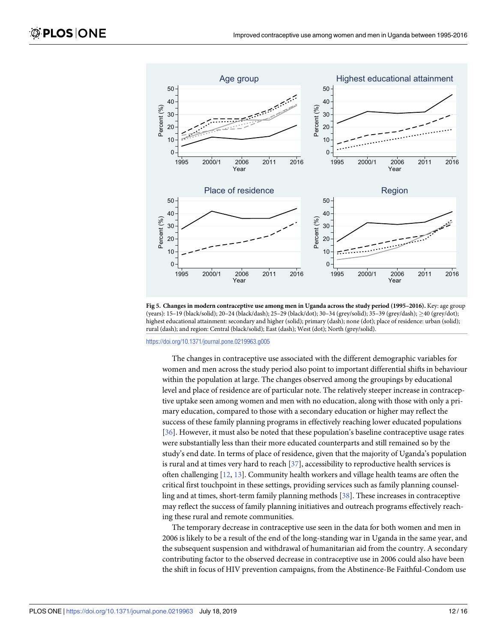<span id="page-11-0"></span>

[Fig](#page-8-0) 5. Changes in modern contraceptive use among men in Uganda across the study period (1995-2016). Key: age group (years): 15–19 (black/solid); 20–24 (black/dash); 25–29 (black/dot); 30–34 (grey/solid); 35–39 (grey/dash); �40 (grey/dot); highest educational attainment: secondary and higher (solid); primary (dash); none (dot); place of residence: urban (solid); rural (dash); and region: Central (black/solid); East (dash); West (dot); North (grey/solid).

The changes in contraceptive use associated with the different demographic variables for women and men across the study period also point to important differential shifts in behaviour within the population at large. The changes observed among the groupings by educational level and place of residence are of particular note. The relatively steeper increase in contraceptive uptake seen among women and men with no education, along with those with only a primary education, compared to those with a secondary education or higher may reflect the success of these family planning programs in effectively reaching lower educated populations [\[36\]](#page-15-0). However, it must also be noted that these population's baseline contraceptive usage rates were substantially less than their more educated counterparts and still remained so by the study's end date. In terms of place of residence, given that the majority of Uganda's population is rural and at times very hard to reach [[37](#page-15-0)], accessibility to reproductive health services is often challenging [\[12,](#page-14-0) [13\]](#page-14-0). Community health workers and village health teams are often the critical first touchpoint in these settings, providing services such as family planning counselling and at times, short-term family planning methods [\[38\]](#page-15-0). These increases in contraceptive may reflect the success of family planning initiatives and outreach programs effectively reaching these rural and remote communities.

The temporary decrease in contraceptive use seen in the data for both women and men in 2006 is likely to be a result of the end of the long-standing war in Uganda in the same year, and the subsequent suspension and withdrawal of humanitarian aid from the country. A secondary contributing factor to the observed decrease in contraceptive use in 2006 could also have been the shift in focus of HIV prevention campaigns, from the Abstinence-Be Faithful-Condom use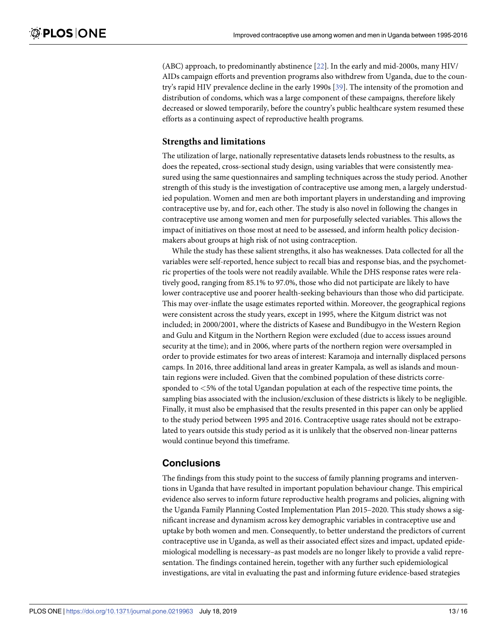<span id="page-12-0"></span>(ABC) approach, to predominantly abstinence [\[22\]](#page-14-0). In the early and mid-2000s, many HIV/ AIDs campaign efforts and prevention programs also withdrew from Uganda, due to the country's rapid HIV prevalence decline in the early 1990s [\[39\]](#page-15-0). The intensity of the promotion and distribution of condoms, which was a large component of these campaigns, therefore likely decreased or slowed temporarily, before the country's public healthcare system resumed these efforts as a continuing aspect of reproductive health programs.

#### **Strengths and limitations**

The utilization of large, nationally representative datasets lends robustness to the results, as does the repeated, cross-sectional study design, using variables that were consistently measured using the same questionnaires and sampling techniques across the study period. Another strength of this study is the investigation of contraceptive use among men, a largely understudied population. Women and men are both important players in understanding and improving contraceptive use by, and for, each other. The study is also novel in following the changes in contraceptive use among women and men for purposefully selected variables. This allows the impact of initiatives on those most at need to be assessed, and inform health policy decisionmakers about groups at high risk of not using contraception.

While the study has these salient strengths, it also has weaknesses. Data collected for all the variables were self-reported, hence subject to recall bias and response bias, and the psychometric properties of the tools were not readily available. While the DHS response rates were relatively good, ranging from 85.1% to 97.0%, those who did not participate are likely to have lower contraceptive use and poorer health-seeking behaviours than those who did participate. This may over-inflate the usage estimates reported within. Moreover, the geographical regions were consistent across the study years, except in 1995, where the Kitgum district was not included; in 2000/2001, where the districts of Kasese and Bundibugyo in the Western Region and Gulu and Kitgum in the Northern Region were excluded (due to access issues around security at the time); and in 2006, where parts of the northern region were oversampled in order to provide estimates for two areas of interest: Karamoja and internally displaced persons camps. In 2016, three additional land areas in greater Kampala, as well as islands and mountain regions were included. Given that the combined population of these districts corresponded to *<*5% of the total Ugandan population at each of the respective time points, the sampling bias associated with the inclusion/exclusion of these districts is likely to be negligible. Finally, it must also be emphasised that the results presented in this paper can only be applied to the study period between 1995 and 2016. Contraceptive usage rates should not be extrapolated to years outside this study period as it is unlikely that the observed non-linear patterns would continue beyond this timeframe.

## **Conclusions**

The findings from this study point to the success of family planning programs and interventions in Uganda that have resulted in important population behaviour change. This empirical evidence also serves to inform future reproductive health programs and policies, aligning with the Uganda Family Planning Costed Implementation Plan 2015–2020. This study shows a significant increase and dynamism across key demographic variables in contraceptive use and uptake by both women and men. Consequently, to better understand the predictors of current contraceptive use in Uganda, as well as their associated effect sizes and impact, updated epidemiological modelling is necessary–as past models are no longer likely to provide a valid representation. The findings contained herein, together with any further such epidemiological investigations, are vital in evaluating the past and informing future evidence-based strategies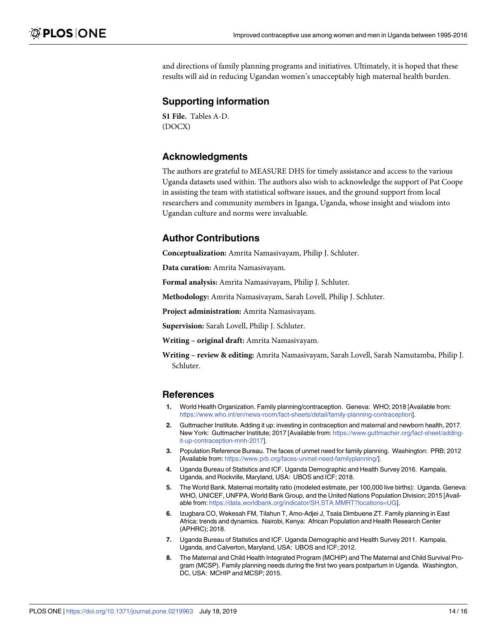<span id="page-13-0"></span>and directions of family planning programs and initiatives. Ultimately, it is hoped that these results will aid in reducing Ugandan women's unacceptably high maternal health burden.

## **Supporting information**

**S1 [File.](http://www.plosone.org/article/fetchSingleRepresentation.action?uri=info:doi/10.1371/journal.pone.0219963.s001)** Tables A-D. (DOCX)

## **Acknowledgments**

The authors are grateful to MEASURE DHS for timely assistance and access to the various Uganda datasets used within. The authors also wish to acknowledge the support of Pat Coope in assisting the team with statistical software issues, and the ground support from local researchers and community members in Iganga, Uganda, whose insight and wisdom into Ugandan culture and norms were invaluable.

## **Author Contributions**

**Conceptualization:** Amrita Namasivayam, Philip J. Schluter.

**Data curation:** Amrita Namasivayam.

**Formal analysis:** Amrita Namasivayam, Philip J. Schluter.

**Methodology:** Amrita Namasivayam, Sarah Lovell, Philip J. Schluter.

**Project administration:** Amrita Namasivayam.

**Supervision:** Sarah Lovell, Philip J. Schluter.

**Writing – original draft:** Amrita Namasivayam.

**Writing – review & editing:** Amrita Namasivayam, Sarah Lovell, Sarah Namutamba, Philip J. Schluter.

## **References**

- **[1](#page-1-0).** World Health Organization. Family planning/contraception. Geneva: WHO; 2018 [Available from: [https://www.who.int/en/news-room/fact-sheets/detail/family-planning-contraception\]](https://www.who.int/en/news-room/fact-sheets/detail/family-planning-contraception).
- **[2](#page-1-0).** Guttmacher Institute. Adding it up: investing in contraception and maternal and newborn health, 2017. New York: Guttmacher Institute; 2017 [Available from: [https://www.guttmacher.org/fact-sheet/adding](https://www.guttmacher.org/fact-sheet/adding-it-up-contraception-mnh-2017)[it-up-contraception-mnh-2017\]](https://www.guttmacher.org/fact-sheet/adding-it-up-contraception-mnh-2017).
- **[3](#page-1-0).** Population Reference Bureau. The faces of unmet need for family planning. Washington: PRB; 2012 [Available from: <https://www.prb.org/faces-unmet-need-familyplanning/>].
- **[4](#page-1-0).** Uganda Bureau of Statistics and ICF. Uganda Demographic and Health Survey 2016. Kampala, Uganda, and Rockville, Maryland, USA: UBOS and ICF; 2018.
- **[5](#page-1-0).** The World Bank. Maternal mortality ratio (modeled estimate, per 100,000 live births): Uganda. Geneva: WHO, UNICEF, UNFPA, World Bank Group, and the United Nations Population Division; 2015 [Available from: [https://data.worldbank.org/indicator/SH.STA.MMRT?locations=UG\]](https://data.worldbank.org/indicator/SH.STA.MMRT?locations=UG).
- **[6](#page-1-0).** Izugbara CO, Wekesah FM, Tilahun T, Amo-Adjei J, Tsala Dimbuene ZT. Family planning in East Africa: trends and dynamics. Nairobi, Kenya: African Population and Health Research Center (APHRC); 2018.
- **[7](#page-1-0).** Uganda Bureau of Statistics and ICF. Uganda Demographic and Health Survey 2011. Kampala, Uganda, and Calverton, Maryland, USA: UBOS and ICF; 2012.
- **[8](#page-1-0).** The Maternal and Child Health Integrated Program (MCHIP) and The Maternal and Child Survival Program (MCSP). Family planning needs during the first two years postpartum in Uganda. Washington, DC, USA: MCHIP and MCSP; 2015.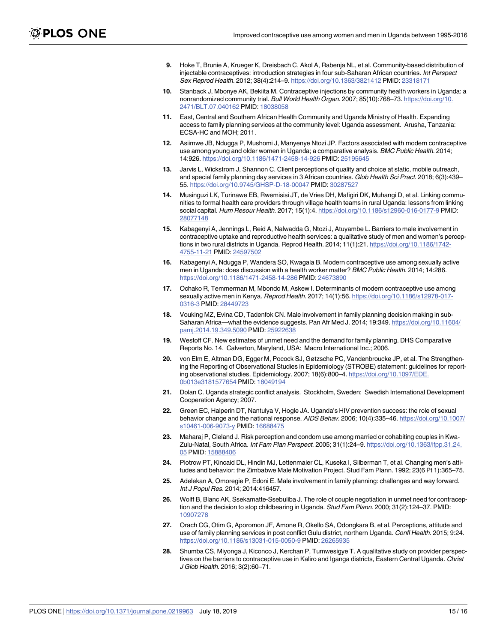- <span id="page-14-0"></span>**[9](#page-1-0).** Hoke T, Brunie A, Krueger K, Dreisbach C, Akol A, Rabenja NL, et al. Community-based distribution of injectable contraceptives: introduction strategies in four sub-Saharan African countries. Int Perspect Sex Reprod Health. 2012; 38(4):214–9. <https://doi.org/10.1363/3821412> PMID: [23318171](http://www.ncbi.nlm.nih.gov/pubmed/23318171)
- **[10](#page-1-0).** Stanback J, Mbonye AK, Bekiita M. Contraceptive injections by community health workers in Uganda: a nonrandomized community trial. Bull World Health Organ. 2007; 85(10):768–73. [https://doi.org/10.](https://doi.org/10.2471/BLT.07.040162) [2471/BLT.07.040162](https://doi.org/10.2471/BLT.07.040162) PMID: [18038058](http://www.ncbi.nlm.nih.gov/pubmed/18038058)
- **[11](#page-1-0).** East, Central and Southern African Health Community and Uganda Ministry of Health. Expanding access to family planning services at the community level: Uganda assessment. Arusha, Tanzania: ECSA-HC and MOH; 2011.
- **[12](#page-1-0).** Asiimwe JB, Ndugga P, Mushomi J, Manyenye Ntozi JP. Factors associated with modern contraceptive use among young and older women in Uganda; a comparative analysis. BMC Public Health. 2014; 14:926. <https://doi.org/10.1186/1471-2458-14-926> PMID: [25195645](http://www.ncbi.nlm.nih.gov/pubmed/25195645)
- **[13](#page-1-0).** Jarvis L, Wickstrom J, Shannon C. Client perceptions of quality and choice at static, mobile outreach, and special family planning day services in 3 African countries. Glob Health Sci Pract. 2018; 6(3):439– 55. <https://doi.org/10.9745/GHSP-D-18-00047> PMID: [30287527](http://www.ncbi.nlm.nih.gov/pubmed/30287527)
- **[14](#page-2-0).** Musinguzi LK, Turinawe EB, Rwemisisi JT, de Vries DH, Mafigiri DK, Muhangi D, et al. Linking communities to formal health care providers through village health teams in rural Uganda: lessons from linking social capital. Hum Resour Health. 2017; 15(1):4. <https://doi.org/10.1186/s12960-016-0177-9> PMID: [28077148](http://www.ncbi.nlm.nih.gov/pubmed/28077148)
- **[15](#page-2-0).** Kabagenyi A, Jennings L, Reid A, Nalwadda G, Ntozi J, Atuyambe L. Barriers to male involvement in contraceptive uptake and reproductive health services: a qualitative study of men and women's perceptions in two rural districts in Uganda. Reprod Health. 2014; 11(1):21. [https://doi.org/10.1186/1742-](https://doi.org/10.1186/1742-4755-11-21) [4755-11-21](https://doi.org/10.1186/1742-4755-11-21) PMID: [24597502](http://www.ncbi.nlm.nih.gov/pubmed/24597502)
- **[16](#page-2-0).** Kabagenyi A, Ndugga P, Wandera SO, Kwagala B. Modern contraceptive use among sexually active men in Uganda: does discussion with a health worker matter? BMC Public Health. 2014; 14:286. <https://doi.org/10.1186/1471-2458-14-286> PMID: [24673890](http://www.ncbi.nlm.nih.gov/pubmed/24673890)
- **[17](#page-2-0).** Ochako R, Temmerman M, Mbondo M, Askew I. Determinants of modern contraceptive use among sexually active men in Kenya. Reprod Health. 2017; 14(1):56. [https://doi.org/10.1186/s12978-017-](https://doi.org/10.1186/s12978-017-0316-3) [0316-3](https://doi.org/10.1186/s12978-017-0316-3) PMID: [28449723](http://www.ncbi.nlm.nih.gov/pubmed/28449723)
- **[18](#page-2-0).** Vouking MZ, Evina CD, Tadenfok CN. Male involvement in family planning decision making in sub-Saharan Africa—what the evidence suggests. Pan Afr Med J. 2014; 19:349. [https://doi.org/10.11604/](https://doi.org/10.11604/pamj.2014.19.349.5090) [pamj.2014.19.349.5090](https://doi.org/10.11604/pamj.2014.19.349.5090) PMID: [25922638](http://www.ncbi.nlm.nih.gov/pubmed/25922638)
- **[19](#page-3-0).** Westoff CF. New estimates of unmet need and the demand for family planning. DHS Comparative Reports No. 14. Calverton, Maryland, USA: Macro International Inc.; 2006.
- **[20](#page-3-0).** von Elm E, Altman DG, Egger M, Pocock SJ, Gøtzsche PC, Vandenbroucke JP, et al. The Strengthening the Reporting of Observational Studies in Epidemiology (STROBE) statement: guidelines for reporting observational studies. Epidemiology. 2007; 18(6):800–4. [https://doi.org/10.1097/EDE.](https://doi.org/10.1097/EDE.0b013e3181577654) [0b013e3181577654](https://doi.org/10.1097/EDE.0b013e3181577654) PMID: [18049194](http://www.ncbi.nlm.nih.gov/pubmed/18049194)
- **[21](#page-9-0).** Dolan C. Uganda strategic conflict analysis. Stockholm, Sweden: Swedish International Development Cooperation Agency; 2007.
- **[22](#page-9-0).** Green EC, Halperin DT, Nantulya V, Hogle JA. Uganda's HIV prevention success: the role of sexual behavior change and the national response. AIDS Behav. 2006; 10(4):335–46. [https://doi.org/10.1007/](https://doi.org/10.1007/s10461-006-9073-y) [s10461-006-9073-y](https://doi.org/10.1007/s10461-006-9073-y) PMID: [16688475](http://www.ncbi.nlm.nih.gov/pubmed/16688475)
- **[23](#page-9-0).** Maharaj P, Cleland J. Risk perception and condom use among married or cohabiting couples in Kwa-Zulu-Natal, South Africa. Int Fam Plan Perspect. 2005; 31(1):24–9. [https://doi.org/10.1363/ifpp.31.24.](https://doi.org/10.1363/ifpp.31.24.05) [05](https://doi.org/10.1363/ifpp.31.24.05) PMID: [15888406](http://www.ncbi.nlm.nih.gov/pubmed/15888406)
- **[24](#page-9-0).** Piotrow PT, Kincaid DL, Hindin MJ, Lettenmaier CL, Kuseka I, Silberman T, et al. Changing men's attitudes and behavior: the Zimbabwe Male Motivation Project. Stud Fam Plann. 1992; 23(6 Pt 1):365–75.
- **[25](#page-9-0).** Adelekan A, Omoregie P, Edoni E. Male involvement in family planning: challenges and way forward. Int J Popul Res. 2014; 2014:416457.
- **[26](#page-10-0).** Wolff B, Blanc AK, Ssekamatte-Ssebuliba J. The role of couple negotiation in unmet need for contraception and the decision to stop childbearing in Uganda. Stud Fam Plann. 2000; 31(2):124-37. PMID: [10907278](http://www.ncbi.nlm.nih.gov/pubmed/10907278)
- **[27](#page-10-0).** Orach CG, Otim G, Aporomon JF, Amone R, Okello SA, Odongkara B, et al. Perceptions, attitude and use of family planning services in post conflict Gulu district, northern Uganda. Confl Health. 2015; 9:24. <https://doi.org/10.1186/s13031-015-0050-9> PMID: [26265935](http://www.ncbi.nlm.nih.gov/pubmed/26265935)
- **[28](#page-10-0).** Shumba CS, Miyonga J, Kiconco J, Kerchan P, Tumwesigye T. A qualitative study on provider perspectives on the barriers to contraceptive use in Kaliro and Iganga districts, Eastern Central Uganda. Christ J Glob Health. 2016; 3(2):60–71.